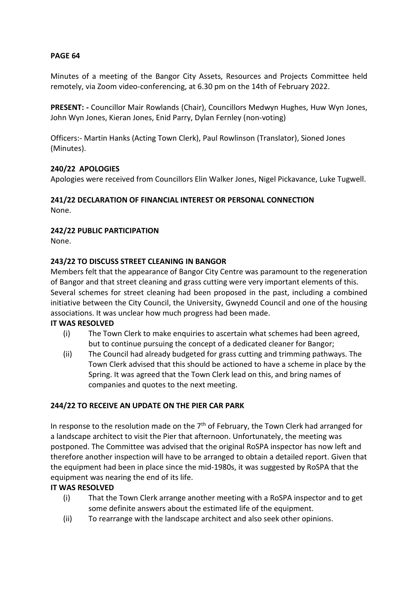# **PAGE 64**

Minutes of a meeting of the Bangor City Assets, Resources and Projects Committee held remotely, via Zoom video-conferencing, at 6.30 pm on the 14th of February 2022.

**PRESENT: -** Councillor Mair Rowlands (Chair), Councillors Medwyn Hughes, Huw Wyn Jones, John Wyn Jones, Kieran Jones, Enid Parry, Dylan Fernley (non-voting)

Officers:- Martin Hanks (Acting Town Clerk), Paul Rowlinson (Translator), Sioned Jones (Minutes).

## **240/22 APOLOGIES**

Apologies were received from Councillors Elin Walker Jones, Nigel Pickavance, Luke Tugwell.

#### **241/22 DECLARATION OF FINANCIAL INTEREST OR PERSONAL CONNECTION** None.

# **242/22 PUBLIC PARTICIPATION**

None.

## **243/22 TO DISCUSS STREET CLEANING IN BANGOR**

Members felt that the appearance of Bangor City Centre was paramount to the regeneration of Bangor and that street cleaning and grass cutting were very important elements of this. Several schemes for street cleaning had been proposed in the past, including a combined initiative between the City Council, the University, Gwynedd Council and one of the housing associations. It was unclear how much progress had been made.

#### **IT WAS RESOLVED**

- (i) The Town Clerk to make enquiries to ascertain what schemes had been agreed, but to continue pursuing the concept of a dedicated cleaner for Bangor;
- (ii) The Council had already budgeted for grass cutting and trimming pathways. The Town Clerk advised that this should be actioned to have a scheme in place by the Spring. It was agreed that the Town Clerk lead on this, and bring names of companies and quotes to the next meeting.

# **244/22 TO RECEIVE AN UPDATE ON THE PIER CAR PARK**

In response to the resolution made on the  $7<sup>th</sup>$  of February, the Town Clerk had arranged for a landscape architect to visit the Pier that afternoon. Unfortunately, the meeting was postponed. The Committee was advised that the original RoSPA inspector has now left and therefore another inspection will have to be arranged to obtain a detailed report. Given that the equipment had been in place since the mid-1980s, it was suggested by RoSPA that the equipment was nearing the end of its life.

#### **IT WAS RESOLVED**

- (i) That the Town Clerk arrange another meeting with a RoSPA inspector and to get some definite answers about the estimated life of the equipment.
- (ii) To rearrange with the landscape architect and also seek other opinions.